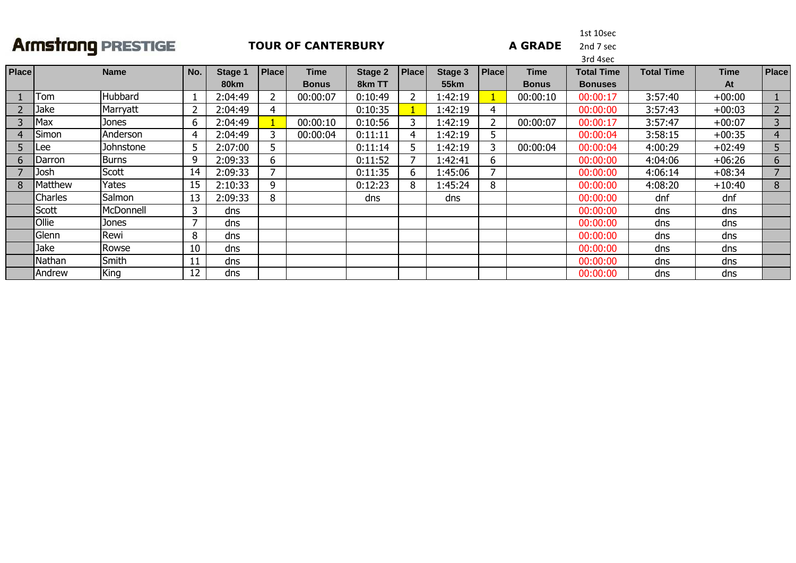#### **TOUR OF CANTERBURY**

1st 10sec

**A GRADE** 

2nd 7 sec

|              |                |              |                |             |              |              |         |              |             |              |              | 3rd 4sec          |                   |             |                |
|--------------|----------------|--------------|----------------|-------------|--------------|--------------|---------|--------------|-------------|--------------|--------------|-------------------|-------------------|-------------|----------------|
| <b>Place</b> |                | <b>Name</b>  | No.            | Stage 1     | <b>Place</b> | <b>Time</b>  | Stage 2 | Place        | Stage 3     | <b>Place</b> | <b>Time</b>  | <b>Total Time</b> | <b>Total Time</b> | <b>Time</b> | <b>Place</b>   |
|              |                |              |                | <b>80km</b> |              | <b>Bonus</b> | 8km TT  |              | <b>55km</b> |              | <b>Bonus</b> | <b>Bonuses</b>    |                   | At          |                |
|              | Tom            | Hubbard      | 1              | 2:04:49     |              | 00:00:07     | 0:10:49 |              | 1:42:19     |              | 00:00:10     | 00:00:17          | 3:57:40           | $+00:00$    |                |
|              | Jake           | Marryatt     | $\overline{2}$ | 2:04:49     | 4            |              | 0:10:35 |              | 1:42:19     | 4            |              | 00:00:00          | 3:57:43           | $+00:03$    | $\overline{2}$ |
|              | Max            | Jones        | 6              | 2:04:49     |              | 00:00:10     | 0:10:56 |              | 1:42:19     |              | 00:00:07     | 00:00:17          | 3:57:47           | $+00:07$    | 3              |
|              | Simon          | Anderson     | 4              | 2:04:49     | 3            | 00:00:04     | 0:11:11 | 4            | 1:42:19     |              |              | 00:00:04          | 3:58:15           | $+00:35$    | 4              |
|              | ILee           | Johnstone    | 5              | 2:07:00     | 5.           |              | 0:11:14 | 5.           | 1:42:19     |              | 00:00:04     | 00:00:04          | 4:00:29           | $+02:49$    | 5              |
| b            | <b>IDarron</b> | <b>Burns</b> | 9              | 2:09:33     | 6            |              | 0:11:52 |              | 1:42:41     | 6.           |              | 00:00:00          | 4:04:06           | $+06:26$    | 6              |
|              | Josh           | Scott        | 14             | 2:09:33     |              |              | 0:11:35 | <sub>b</sub> | 1:45:06     |              |              | 00:00:00          | 4:06:14           | $+08:34$    |                |
|              | Matthew        | Yates        | 15             | 2:10:33     | 9            |              | 0:12:23 | 8            | 1:45:24     | 8            |              | 00:00:00          | 4:08:20           | $+10:40$    | 8              |
|              | <b>Charles</b> | Salmon       | 13             | 2:09:33     | 8            |              | dns     |              | dns         |              |              | 00:00:00          | dnf               | dnf         |                |
|              | Scott          | McDonnell    | 3              | dns         |              |              |         |              |             |              |              | 00:00:00          | dns               | dns         |                |
|              | <b>Ollie</b>   | Jones        | 7              | dns         |              |              |         |              |             |              |              | 00:00:00          | dns               | dns         |                |
|              | Glenn          | Rewi         | 8              | dns         |              |              |         |              |             |              |              | 00:00:00          | dns               | dns         |                |
|              | Jake           | Rowse        | 10             | dns         |              |              |         |              |             |              |              | 00:00:00          | dns               | dns         |                |
|              | Nathan         | Smith        | 11             | dns         |              |              |         |              |             |              |              | 00:00:00          | dns               | dns         |                |
|              | Andrew         | King         | 12             | dns         |              |              |         |              |             |              |              | 00:00:00          | dns               | dns         |                |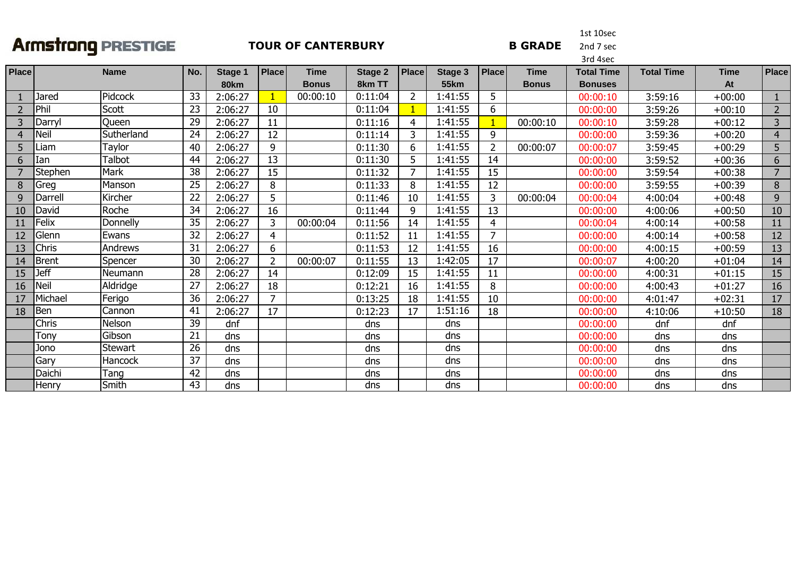#### **TOUR OF CANTERBURY**

1st 10sec2nd 7 sec

**B GRADE** 

|                |             |               |                 |             |                |              |         | 3rd 4sec       |                |                |              |                   |                   |             |                |  |  |
|----------------|-------------|---------------|-----------------|-------------|----------------|--------------|---------|----------------|----------------|----------------|--------------|-------------------|-------------------|-------------|----------------|--|--|
| Place          |             | <b>Name</b>   | No.             | Stage 1     | <b>Place</b>   | <b>Time</b>  | Stage 2 | <b>Place</b>   | <b>Stage 3</b> | <b>Place</b>   | <b>Time</b>  | <b>Total Time</b> | <b>Total Time</b> | <b>Time</b> | Place          |  |  |
|                |             |               |                 | <b>80km</b> |                | <b>Bonus</b> | 8km TT  |                | <b>55km</b>    |                | <b>Bonus</b> | <b>Bonuses</b>    |                   | At          |                |  |  |
|                | Jared       | Pidcock       | 33              | 2:06:27     |                | 00:00:10     | 0:11:04 | $\overline{2}$ | 1:41:55        | 5              |              | 00:00:10          | 3:59:16           | $+00:00$    |                |  |  |
| $\overline{2}$ | Phil        | Scott         | 23              | 2:06:27     | 10             |              | 0:11:04 |                | 1:41:55        | 6              |              | 00:00:00          | 3:59:26           | $+00:10$    | $\overline{2}$ |  |  |
| 3              | Darryl      | Queen         | 29              | 2:06:27     | 11             |              | 0:11:16 | 4              | 1:41:55        |                | 00:00:10     | 00:00:10          | 3:59:28           | $+00:12$    | 3              |  |  |
| 4              | <b>Neil</b> | Sutherland    | 24              | 2:06:27     | 12             |              | 0:11:14 | 3              | 1:41:55        | 9              |              | 00:00:00          | 3:59:36           | $+00:20$    | $\overline{4}$ |  |  |
| 5              | .iam        | Taylor        | 40              | 2:06:27     | 9              |              | 0:11:30 | 6              | 1:41:55        | $\overline{2}$ | 00:00:07     | 00:00:07          | 3:59:45           | $+00:29$    | 5              |  |  |
| 6              | Ian         | <b>Talbot</b> | 44              | 2:06:27     | 13             |              | 0:11:30 | 5.             | 1:41:55        | 14             |              | 00:00:00          | 3:59:52           | $+00:36$    | 6              |  |  |
|                | Stephen     | Mark          | 38              | 2:06:27     | 15             |              | 0:11:32 | $\overline{ }$ | 1:41:55        | 15             |              | 00:00:00          | 3:59:54           | $+00:38$    | 7              |  |  |
| 8              | Greg        | Manson        | 25              | 2:06:27     | 8              |              | 0:11:33 | 8              | 1:41:55        | 12             |              | 00:00:00          | 3:59:55           | $+00:39$    | 8              |  |  |
| 9              | Darrell     | Kircher       | 22              | 2:06:27     | 5              |              | 0:11:46 | 10             | 1:41:55        | 3              | 00:00:04     | 00:00:04          | 4:00:04           | $+00:48$    | 9              |  |  |
| 10             | David       | Roche         | 34              | 2:06:27     | 16             |              | 0:11:44 | 9              | 1:41:55        | 13             |              | 00:00:00          | 4:00:06           | $+00:50$    | 10             |  |  |
|                | Felix       | Donnelly      | 35              | 2:06:27     | 3              | 00:00:04     | 0:11:56 | 14             | 1:41:55        | $\overline{4}$ |              | 00:00:04          | 4:00:14           | $+00:58$    | 11             |  |  |
| 12             | Glenn       | Ewans         | $\overline{32}$ | 2:06:27     | 4              |              | 0:11:52 | 11             | 1:41:55        | $\overline{7}$ |              | 00:00:00          | 4:00:14           | $+00:58$    | 12             |  |  |
| 13             | Chris       | Andrews       | 31              | 2:06:27     | 6              |              | 0:11:53 | 12             | 1:41:55        | 16             |              | 00:00:00          | 4:00:15           | $+00:59$    | 13             |  |  |
| 14             | Brent       | Spencer       | 30              | 2:06:27     | $\overline{2}$ | 00:00:07     | 0:11:55 | 13             | 1:42:05        | 17             |              | 00:00:07          | 4:00:20           | $+01:04$    | 14             |  |  |
| 15             | <b>Jeff</b> | Neumann       | 28              | 2:06:27     | 14             |              | 0:12:09 | 15             | 1:41:55        | 11             |              | 00:00:00          | 4:00:31           | $+01:15$    | 15             |  |  |
| 16             | <b>Neil</b> | Aldridge      | 27              | 2:06:27     | 18             |              | 0:12:21 | 16             | 1:41:55        | 8              |              | 00:00:00          | 4:00:43           | $+01:27$    | 16             |  |  |
| 17             | Michael     | Ferigo        | 36              | 2:06:27     | $\overline{7}$ |              | 0:13:25 | 18             | 1:41:55        | 10             |              | 00:00:00          | 4:01:47           | $+02:31$    | 17             |  |  |
| 18             | Ben         | Cannon        | 41              | 2:06:27     | 17             |              | 0:12:23 | 17             | 1:51:16        | 18             |              | 00:00:00          | 4:10:06           | $+10:50$    | 18             |  |  |
|                | Chris       | Nelson        | 39              | dnf         |                |              | dns     |                | dns            |                |              | 00:00:00          | dnf               | dnf         |                |  |  |
|                | Tony        | Gibson        | 21              | dns         |                |              | dns     |                | dns            |                |              | 00:00:00          | dns               | dns         |                |  |  |
|                | Jono        | Stewart       | 26              | dns         |                |              | dns     |                | dns            |                |              | 00:00:00          | dns               | dns         |                |  |  |
|                | Gary        | Hancock       | 37              | dns         |                |              | dns     |                | dns            |                |              | 00:00:00          | dns               | dns         |                |  |  |
|                | Daichi      | Tang          | 42              | dns         |                |              | dns     |                | dns            |                |              | 00:00:00          | dns               | dns         |                |  |  |
|                | Henry       | Smith         | 43              | dns         |                |              | dns     |                | dns            |                |              | 00:00:00          | dns               | dns         |                |  |  |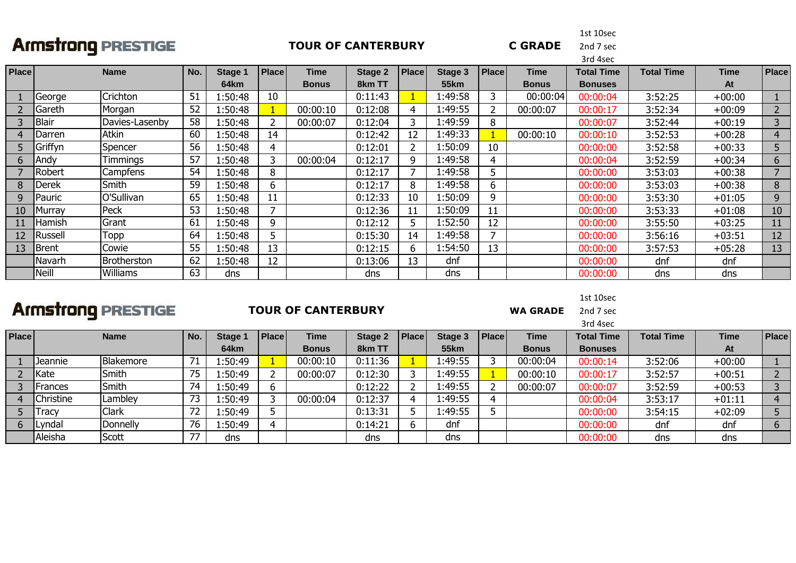#### **TOUR OF CANTERBURY**

1st 10sec

**C GRADE** 

2nd 7 sec

|              |                |                 |     |         |       |             |                |              |             |                |             | 3rd 4sec          |                   |             |                |
|--------------|----------------|-----------------|-----|---------|-------|-------------|----------------|--------------|-------------|----------------|-------------|-------------------|-------------------|-------------|----------------|
| Place        |                | <b>Name</b>     | No. | Stage 1 | Place | <b>Time</b> | <b>Stage 2</b> | <b>Place</b> | Stage 3     | <b>Place</b>   | <b>Time</b> | <b>Total Time</b> | <b>Total Time</b> | <b>Time</b> | <b>Place</b>   |
|              |                |                 |     | 64km    |       | Bonus       | 8km TT         |              | <b>55km</b> |                | Bonus       | <b>Bonuses</b>    |                   | At          |                |
|              | George         | Crichton        | 51  | 1:50:48 | 10    |             | 0:11:43        |              | l:49:58     | 3              | 00:00:04    | 00:00:04          | 3:52:25           | $+00:00$    |                |
|              | Gareth         | Morgan          | 52  | 1:50:48 |       | 00:00:10    | 0:12:08        |              | l:49:55     | $\overline{2}$ | 00:00:07    | 00:00:17          | 3:52:34           | $+00:09$    | $\overline{2}$ |
|              | <b>Blair</b>   | Davies-Lasenby  | 58  | 1:50:48 |       | 00:00:07    | 0:12:04        |              | 1:49:59     | 8              |             | 00:00:07          | 3:52:44           | $+00:19$    | 3              |
| 4            | Darren         | Atkin           | 60  | 1:50:48 | 14    |             | 0:12:42        |              | 1:49:33     |                | 00:00:10    | 00:00:10          | 3:52:53           | $+00:28$    | $\overline{4}$ |
| 5.           | Griffyn        | Spencer         | 56  | 1:50:48 | 4     |             | 0:12:01        |              | 1:50:09     | 10             |             | 00:00:00          | 3:52:58           | $+00:33$    | 5              |
| <sub>b</sub> | Andy           | <b>Timmings</b> | 57  | 1:50:48 |       | 00:00:04    | 0:12:17        | Q            | l:49:58     | 4              |             | 00:00:04          | 3:52:59           | $+00:34$    | 6              |
|              | Robert         | Campfens        | 54  | 1:50:48 | 8     |             | 0:12:17        |              | 1:49:58     | 5              |             | 00:00:00          | 3:53:03           | $+00:38$    | $\overline{7}$ |
| 8            | Derek          | Smith           | 59  | 1:50:48 | 6     |             | 0:12:17        | 8            | l:49:58     | 6              |             | 00:00:00          | 3:53:03           | $+00:38$    | 8              |
| 9            | Pauric         | O'Sullivan      | 65  | 1:50:48 | 11    |             | 0:12:33        | 10           | l:50:09     | 9              |             | 00:00:00          | 3:53:30           | $+01:05$    | 9              |
| 10           | 1urrav         | Peck            | 53  | 1:50:48 |       |             | 0:12:36        |              | 1:50:09     | 11             |             | 00:00:00          | 3:53:33           | $+01:08$    | 10             |
|              | Hamish         | Grant           | 61  | 1:50:48 | q     |             | 0:12:12        |              | 1:52:50     | 12             |             | 00:00:00          | 3:55:50           | $+03:25$    | 11             |
| 12           | <b>Russell</b> | Topp            | 64  | 1:50:48 |       |             | 0:15:30        | 14           | 1:49:58     | 7              |             | 00:00:00          | 3:56:16           | $+03:51$    | 12             |
| 13           | <b>Brent</b>   | Cowie           | 55  | 1:50:48 | 13    |             | 0:12:15        | h            | 1:54:50     | 13             |             | 00:00:00          | 3:57:53           | $+05:28$    | 13             |
|              | Navarh         | Brotherston     | 62  | 1:50:48 | 12    |             | 0:13:06        | 13           | dnf         |                |             | 00:00:00          | dnf               | dnf         |                |
|              | Neill          | Williams        | 63  | dns     |       |             | dns            |              | dns         |                |             | 00:00:00          | dns               | dns         |                |

# **Armstrong PRESTIGE**

#### **TOUR OF CANTERBURY**

1st 10sec2nd 7 sec

**WA GRADE** 

|       |              |              |     |         |              |              |                |       |             |       |              | 3rd 4sec          |                   |             |              |
|-------|--------------|--------------|-----|---------|--------------|--------------|----------------|-------|-------------|-------|--------------|-------------------|-------------------|-------------|--------------|
| Place |              | <b>Name</b>  | No. | Stage 1 | <b>Place</b> | Time         | <b>Stage 2</b> | Place | Stage 3     | Place | <b>Time</b>  | <b>Total Time</b> | <b>Total Time</b> | <b>Time</b> | <b>Place</b> |
|       |              |              |     | 64km    |              | <b>Bonus</b> | 8km TT         |       | <b>55km</b> |       | <b>Bonus</b> | <b>Bonuses</b>    |                   | At          |              |
|       | Jeannie      | Blakemore    |     | l:50:49 |              | 00:00:10     | 0:11:36        |       | 1:49:55     |       | 00:00:04     | 00:00:14          | 3:52:06           | $+00:00$    |              |
|       | Kate         | Smith        | 75  | l:50:49 |              | 00:00:07     | 0:12:30        |       | 1:49:55     |       | 00:00:10     | 00:00:17          | 3:52:57           | $+00:51$    |              |
|       | Frances      | Smith        | 74  | 1:50:49 | b            |              | 0:12:22        |       | 1:49:55     |       | 00:00:07     | 00:00:07          | 3:52:59           | $+00:53$    |              |
|       | Christine    | Lambley      | 73  | l:50:49 |              | 00:00:04     | 0:12:37        |       | 1:49:55     |       |              | 00:00:04          | 3:53:17           | $+01:11$    |              |
|       | <b>fracy</b> | <b>Clark</b> | 72  | l:50:49 |              |              | 0:13:31        |       | 1:49:55     |       |              | 00:00:00          | 3:54:15           | $+02:09$    |              |
|       | Lyndal       | Donnelly     | 76  | l:50:49 | 4            |              | 0:14:21        |       | dnf         |       |              | 00:00:00          | dnf               | dnf         | $\sigma$     |
|       | Aleisha      | Scott        | 77  | dns     |              |              | dns            |       | dns         |       |              | 00:00:00          | dns               | dns         |              |
|       |              |              |     |         |              |              |                |       |             |       |              |                   |                   |             |              |